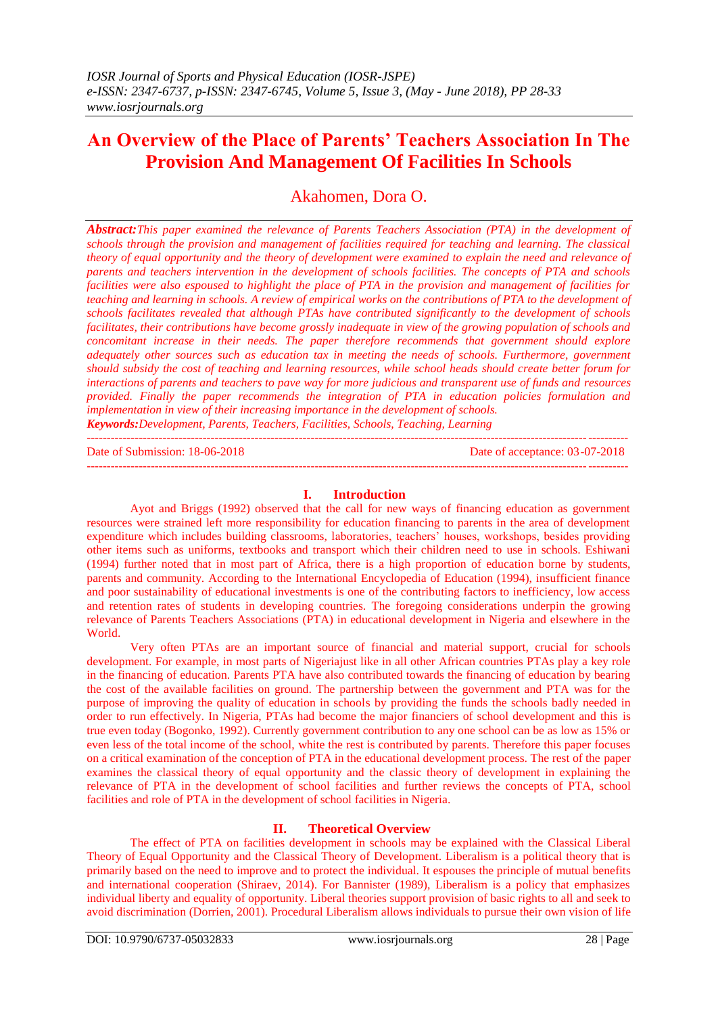# **An Overview of the Place of Parents' Teachers Association In The Provision And Management Of Facilities In Schools**

Akahomen, Dora O.

*Abstract:This paper examined the relevance of Parents Teachers Association (PTA) in the development of schools through the provision and management of facilities required for teaching and learning. The classical theory of equal opportunity and the theory of development were examined to explain the need and relevance of parents and teachers intervention in the development of schools facilities. The concepts of PTA and schools facilities were also espoused to highlight the place of PTA in the provision and management of facilities for teaching and learning in schools. A review of empirical works on the contributions of PTA to the development of schools facilitates revealed that although PTAs have contributed significantly to the development of schools facilitates, their contributions have become grossly inadequate in view of the growing population of schools and concomitant increase in their needs. The paper therefore recommends that government should explore adequately other sources such as education tax in meeting the needs of schools. Furthermore, government should subsidy the cost of teaching and learning resources, while school heads should create better forum for interactions of parents and teachers to pave way for more judicious and transparent use of funds and resources provided. Finally the paper recommends the integration of PTA in education policies formulation and implementation in view of their increasing importance in the development of schools.*

*Keywords:Development, Parents, Teachers, Facilities, Schools, Teaching, Learning* ---------------------------------------------------------------------------------------------------------------------------------------

Date of Submission: 18-06-2018 Date of acceptance: 03-07-2018

# **I. Introduction**

---------------------------------------------------------------------------------------------------------------------------------------

Ayot and Briggs (1992) observed that the call for new ways of financing education as government resources were strained left more responsibility for education financing to parents in the area of development expenditure which includes building classrooms, laboratories, teachers' houses, workshops, besides providing other items such as uniforms, textbooks and transport which their children need to use in schools. Eshiwani (1994) further noted that in most part of Africa, there is a high proportion of education borne by students, parents and community. According to the International Encyclopedia of Education (1994), insufficient finance and poor sustainability of educational investments is one of the contributing factors to inefficiency, low access and retention rates of students in developing countries. The foregoing considerations underpin the growing relevance of Parents Teachers Associations (PTA) in educational development in Nigeria and elsewhere in the World.

Very often PTAs are an important source of financial and material support, crucial for schools development. For example, in most parts of Nigeriajust like in all other African countries PTAs play a key role in the financing of education. Parents PTA have also contributed towards the financing of education by bearing the cost of the available facilities on ground. The partnership between the government and PTA was for the purpose of improving the quality of education in schools by providing the funds the schools badly needed in order to run effectively. In Nigeria, PTAs had become the major financiers of school development and this is true even today (Bogonko, 1992). Currently government contribution to any one school can be as low as 15% or even less of the total income of the school, white the rest is contributed by parents. Therefore this paper focuses on a critical examination of the conception of PTA in the educational development process. The rest of the paper examines the classical theory of equal opportunity and the classic theory of development in explaining the relevance of PTA in the development of school facilities and further reviews the concepts of PTA, school facilities and role of PTA in the development of school facilities in Nigeria.

#### **II. Theoretical Overview**

The effect of PTA on facilities development in schools may be explained with the Classical Liberal Theory of Equal Opportunity and the Classical Theory of Development. Liberalism is a political theory that is primarily based on the need to improve and to protect the individual. It espouses the principle of mutual benefits and international cooperation (Shiraev, 2014). For Bannister (1989), Liberalism is a policy that emphasizes individual liberty and equality of opportunity. Liberal theories support provision of basic rights to all and seek to avoid discrimination (Dorrien, 2001). Procedural Liberalism allows individuals to pursue their own vision of life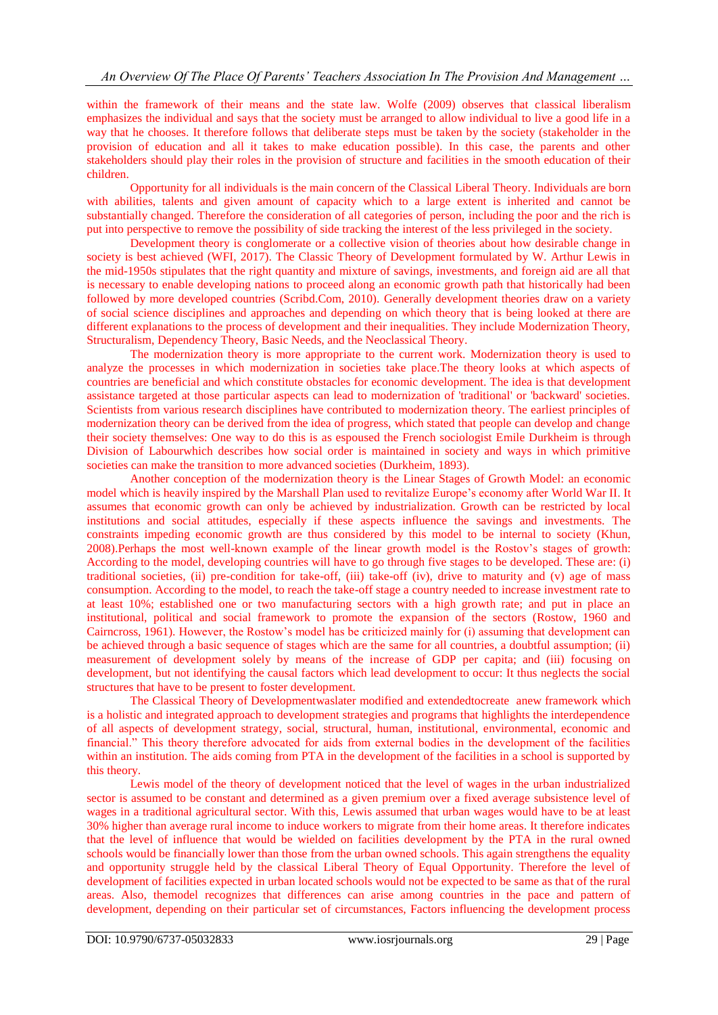within the framework of their means and the state law. Wolfe (2009) observes that classical liberalism emphasizes the individual and says that the society must be arranged to allow individual to live a good life in a way that he chooses. It therefore follows that deliberate steps must be taken by the society (stakeholder in the provision of education and all it takes to make education possible). In this case, the parents and other stakeholders should play their roles in the provision of structure and facilities in the smooth education of their children.

Opportunity for all individuals is the main concern of the Classical Liberal Theory. Individuals are born with abilities, talents and given amount of capacity which to a large extent is inherited and cannot be substantially changed. Therefore the consideration of all categories of person, including the poor and the rich is put into perspective to remove the possibility of side tracking the interest of the less privileged in the society.

Development theory is conglomerate or a collective vision of theories about how desirable change in society is best achieved (WFI, 2017). The Classic Theory of Development formulated by W. Arthur Lewis in the mid-1950s stipulates that the right quantity and mixture of savings, investments, and foreign aid are all that is necessary to enable developing nations to proceed along an economic growth path that historically had been followed by more developed countries (Scribd.Com, 2010). Generally development theories draw on a variety of social science disciplines and approaches and depending on which theory that is being looked at there are different explanations to the process of development and their inequalities. They include Modernization Theory, Structuralism, Dependency Theory, Basic Needs, and the Neoclassical Theory.

The modernization theory is more appropriate to the current work. Modernization theory is used to analyze the processes in which modernization in societies take place.The theory looks at which aspects of countries are beneficial and which constitute obstacles for economic development. The idea is that development assistance targeted at those particular aspects can lead to modernization of 'traditional' or 'backward' societies. Scientists from various research disciplines have contributed to modernization theory. The earliest principles of modernization theory can be derived from the idea of progress, which stated that people can develop and change their society themselves: One way to do this is as espoused the French sociologist Emile Durkheim is through Division of Labourwhich describes how social order is maintained in society and ways in which primitive societies can make the transition to more advanced societies (Durkheim, 1893).

Another conception of the modernization theory is the Linear Stages of Growth Model: an economic model which is heavily inspired by the Marshall Plan used to revitalize Europe's economy after World War II. It assumes that economic growth can only be achieved by industrialization. Growth can be restricted by local institutions and social attitudes, especially if these aspects influence the savings and investments. The constraints impeding economic growth are thus considered by this model to be internal to society (Khun, 2008).Perhaps the most well-known example of the linear growth model is the Rostov's stages of growth: According to the model, developing countries will have to go through five stages to be developed. These are: (i) traditional societies, (ii) pre-condition for take-off, (iii) take-off (iv), drive to maturity and (v) age of mass consumption. According to the model, to reach the take-off stage a country needed to increase investment rate to at least 10%; established one or two manufacturing sectors with a high growth rate; and put in place an institutional, political and social framework to promote the expansion of the sectors (Rostow, 1960 and Cairncross, 1961). However, the Rostow's model has be criticized mainly for (i) assuming that development can be achieved through a basic sequence of stages which are the same for all countries, a doubtful assumption; (ii) measurement of development solely by means of the increase of GDP per capita; and (iii) focusing on development, but not identifying the causal factors which lead development to occur: It thus neglects the social structures that have to be present to foster development.

The Classical Theory of Developmentwaslater modified and extendedtocreate anew framework which is a holistic and integrated approach to development strategies and programs that highlights the interdependence of all aspects of development strategy, social, structural, human, institutional, environmental, economic and financial." This theory therefore advocated for aids from external bodies in the development of the facilities within an institution. The aids coming from PTA in the development of the facilities in a school is supported by this theory.

Lewis model of the theory of development noticed that the level of wages in the urban industrialized sector is assumed to be constant and determined as a given premium over a fixed average subsistence level of wages in a traditional agricultural sector. With this, Lewis assumed that urban wages would have to be at least 30% higher than average rural income to induce workers to migrate from their home areas. It therefore indicates that the level of influence that would be wielded on facilities development by the PTA in the rural owned schools would be financially lower than those from the urban owned schools. This again strengthens the equality and opportunity struggle held by the classical Liberal Theory of Equal Opportunity. Therefore the level of development of facilities expected in urban located schools would not be expected to be same as that of the rural areas. Also, themodel recognizes that differences can arise among countries in the pace and pattern of development, depending on their particular set of circumstances, Factors influencing the development process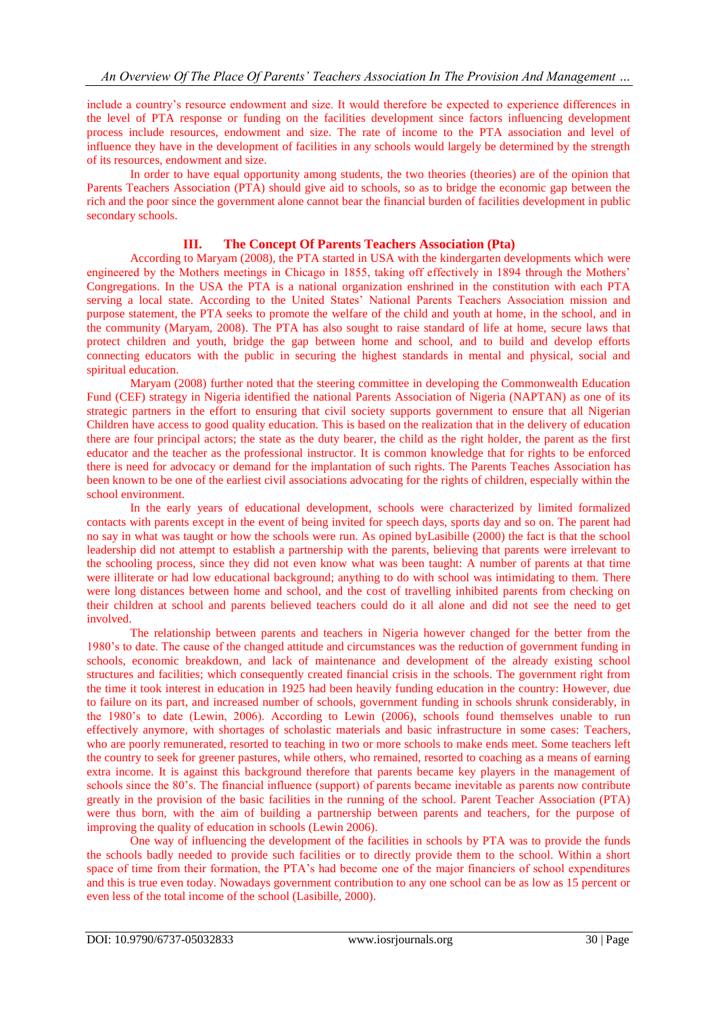include a country's resource endowment and size. It would therefore be expected to experience differences in the level of PTA response or funding on the facilities development since factors influencing development process include resources, endowment and size. The rate of income to the PTA association and level of influence they have in the development of facilities in any schools would largely be determined by the strength of its resources, endowment and size.

In order to have equal opportunity among students, the two theories (theories) are of the opinion that Parents Teachers Association (PTA) should give aid to schools, so as to bridge the economic gap between the rich and the poor since the government alone cannot bear the financial burden of facilities development in public secondary schools.

## **III. The Concept Of Parents Teachers Association (Pta)**

According to Maryam (2008), the PTA started in USA with the kindergarten developments which were engineered by the Mothers meetings in Chicago in 1855, taking off effectively in 1894 through the Mothers' Congregations. In the USA the PTA is a national organization enshrined in the constitution with each PTA serving a local state. According to the United States' National Parents Teachers Association mission and purpose statement, the PTA seeks to promote the welfare of the child and youth at home, in the school, and in the community (Maryam, 2008). The PTA has also sought to raise standard of life at home, secure laws that protect children and youth, bridge the gap between home and school, and to build and develop efforts connecting educators with the public in securing the highest standards in mental and physical, social and spiritual education.

Maryam (2008) further noted that the steering committee in developing the Commonwealth Education Fund (CEF) strategy in Nigeria identified the national Parents Association of Nigeria (NAPTAN) as one of its strategic partners in the effort to ensuring that civil society supports government to ensure that all Nigerian Children have access to good quality education. This is based on the realization that in the delivery of education there are four principal actors; the state as the duty bearer, the child as the right holder, the parent as the first educator and the teacher as the professional instructor. It is common knowledge that for rights to be enforced there is need for advocacy or demand for the implantation of such rights. The Parents Teaches Association has been known to be one of the earliest civil associations advocating for the rights of children, especially within the school environment.

In the early years of educational development, schools were characterized by limited formalized contacts with parents except in the event of being invited for speech days, sports day and so on. The parent had no say in what was taught or how the schools were run. As opined byLasibille (2000) the fact is that the school leadership did not attempt to establish a partnership with the parents, believing that parents were irrelevant to the schooling process, since they did not even know what was been taught: A number of parents at that time were illiterate or had low educational background; anything to do with school was intimidating to them. There were long distances between home and school, and the cost of travelling inhibited parents from checking on their children at school and parents believed teachers could do it all alone and did not see the need to get involved.

The relationship between parents and teachers in Nigeria however changed for the better from the 1980's to date. The cause of the changed attitude and circumstances was the reduction of government funding in schools, economic breakdown, and lack of maintenance and development of the already existing school structures and facilities; which consequently created financial crisis in the schools. The government right from the time it took interest in education in 1925 had been heavily funding education in the country: However, due to failure on its part, and increased number of schools, government funding in schools shrunk considerably, in the 1980's to date (Lewin, 2006). According to Lewin (2006), schools found themselves unable to run effectively anymore, with shortages of scholastic materials and basic infrastructure in some cases: Teachers, who are poorly remunerated, resorted to teaching in two or more schools to make ends meet. Some teachers left the country to seek for greener pastures, while others, who remained, resorted to coaching as a means of earning extra income. It is against this background therefore that parents became key players in the management of schools since the 80's. The financial influence (support) of parents became inevitable as parents now contribute greatly in the provision of the basic facilities in the running of the school. Parent Teacher Association (PTA) were thus born, with the aim of building a partnership between parents and teachers, for the purpose of improving the quality of education in schools (Lewin 2006).

One way of influencing the development of the facilities in schools by PTA was to provide the funds the schools badly needed to provide such facilities or to directly provide them to the school. Within a short space of time from their formation, the PTA's had become one of the major financiers of school expenditures and this is true even today. Nowadays government contribution to any one school can be as low as 15 percent or even less of the total income of the school (Lasibille, 2000).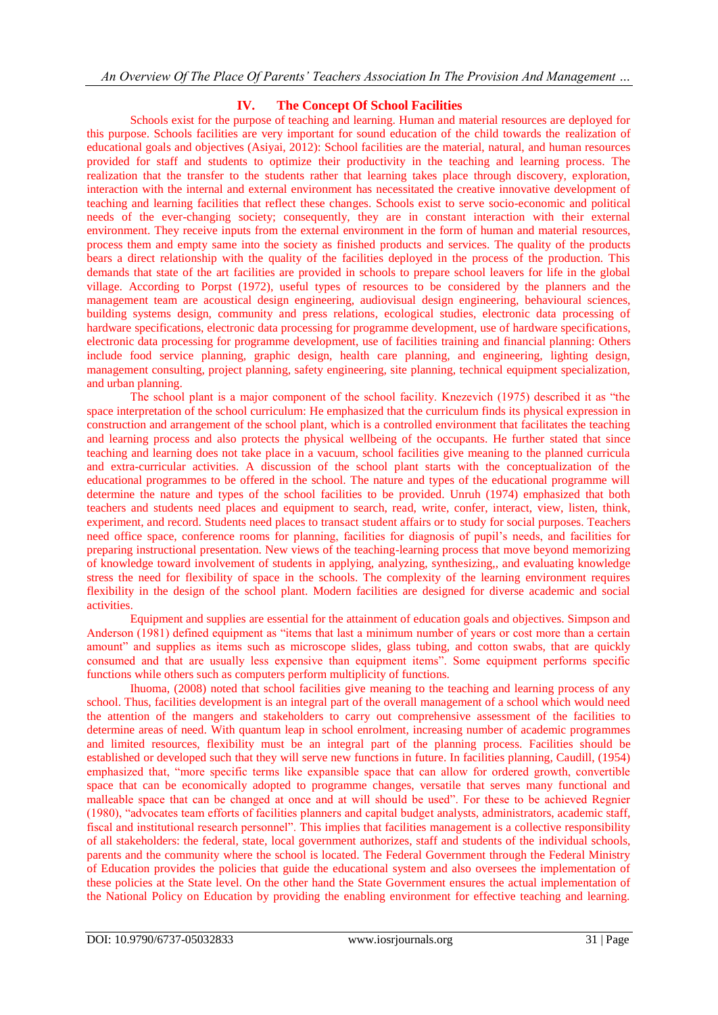### **IV. The Concept Of School Facilities**

Schools exist for the purpose of teaching and learning. Human and material resources are deployed for this purpose. Schools facilities are very important for sound education of the child towards the realization of educational goals and objectives (Asiyai, 2012): School facilities are the material, natural, and human resources provided for staff and students to optimize their productivity in the teaching and learning process. The realization that the transfer to the students rather that learning takes place through discovery, exploration, interaction with the internal and external environment has necessitated the creative innovative development of teaching and learning facilities that reflect these changes. Schools exist to serve socio-economic and political needs of the ever-changing society; consequently, they are in constant interaction with their external environment. They receive inputs from the external environment in the form of human and material resources, process them and empty same into the society as finished products and services. The quality of the products bears a direct relationship with the quality of the facilities deployed in the process of the production. This demands that state of the art facilities are provided in schools to prepare school leavers for life in the global village. According to Porpst (1972), useful types of resources to be considered by the planners and the management team are acoustical design engineering, audiovisual design engineering, behavioural sciences, building systems design, community and press relations, ecological studies, electronic data processing of hardware specifications, electronic data processing for programme development, use of hardware specifications, electronic data processing for programme development, use of facilities training and financial planning: Others include food service planning, graphic design, health care planning, and engineering, lighting design, management consulting, project planning, safety engineering, site planning, technical equipment specialization, and urban planning.

The school plant is a major component of the school facility. Knezevich (1975) described it as "the space interpretation of the school curriculum: He emphasized that the curriculum finds its physical expression in construction and arrangement of the school plant, which is a controlled environment that facilitates the teaching and learning process and also protects the physical wellbeing of the occupants. He further stated that since teaching and learning does not take place in a vacuum, school facilities give meaning to the planned curricula and extra-curricular activities. A discussion of the school plant starts with the conceptualization of the educational programmes to be offered in the school. The nature and types of the educational programme will determine the nature and types of the school facilities to be provided. Unruh (1974) emphasized that both teachers and students need places and equipment to search, read, write, confer, interact, view, listen, think, experiment, and record. Students need places to transact student affairs or to study for social purposes. Teachers need office space, conference rooms for planning, facilities for diagnosis of pupil's needs, and facilities for preparing instructional presentation. New views of the teaching-learning process that move beyond memorizing of knowledge toward involvement of students in applying, analyzing, synthesizing,, and evaluating knowledge stress the need for flexibility of space in the schools. The complexity of the learning environment requires flexibility in the design of the school plant. Modern facilities are designed for diverse academic and social activities.

Equipment and supplies are essential for the attainment of education goals and objectives. Simpson and Anderson (1981) defined equipment as "items that last a minimum number of years or cost more than a certain amount" and supplies as items such as microscope slides, glass tubing, and cotton swabs, that are quickly consumed and that are usually less expensive than equipment items". Some equipment performs specific functions while others such as computers perform multiplicity of functions.

Ihuoma, (2008) noted that school facilities give meaning to the teaching and learning process of any school. Thus, facilities development is an integral part of the overall management of a school which would need the attention of the mangers and stakeholders to carry out comprehensive assessment of the facilities to determine areas of need. With quantum leap in school enrolment, increasing number of academic programmes and limited resources, flexibility must be an integral part of the planning process. Facilities should be established or developed such that they will serve new functions in future. In facilities planning, Caudill, (1954) emphasized that, "more specific terms like expansible space that can allow for ordered growth, convertible space that can be economically adopted to programme changes, versatile that serves many functional and malleable space that can be changed at once and at will should be used". For these to be achieved Regnier (1980), "advocates team efforts of facilities planners and capital budget analysts, administrators, academic staff, fiscal and institutional research personnel". This implies that facilities management is a collective responsibility of all stakeholders: the federal, state, local government authorizes, staff and students of the individual schools, parents and the community where the school is located. The Federal Government through the Federal Ministry of Education provides the policies that guide the educational system and also oversees the implementation of these policies at the State level. On the other hand the State Government ensures the actual implementation of the National Policy on Education by providing the enabling environment for effective teaching and learning.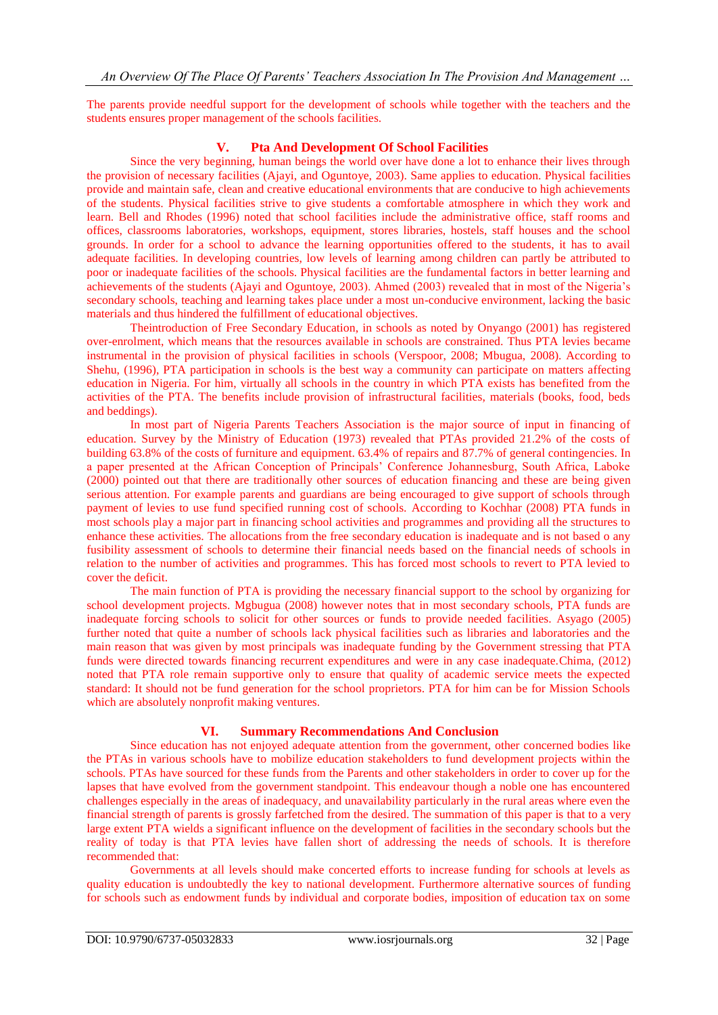The parents provide needful support for the development of schools while together with the teachers and the students ensures proper management of the schools facilities.

#### **V. Pta And Development Of School Facilities**

Since the very beginning, human beings the world over have done a lot to enhance their lives through the provision of necessary facilities (Ajayi, and Oguntoye, 2003). Same applies to education. Physical facilities provide and maintain safe, clean and creative educational environments that are conducive to high achievements of the students. Physical facilities strive to give students a comfortable atmosphere in which they work and learn. Bell and Rhodes (1996) noted that school facilities include the administrative office, staff rooms and offices, classrooms laboratories, workshops, equipment, stores libraries, hostels, staff houses and the school grounds. In order for a school to advance the learning opportunities offered to the students, it has to avail adequate facilities. In developing countries, low levels of learning among children can partly be attributed to poor or inadequate facilities of the schools. Physical facilities are the fundamental factors in better learning and achievements of the students (Ajayi and Oguntoye, 2003). Ahmed (2003) revealed that in most of the Nigeria's secondary schools, teaching and learning takes place under a most un-conducive environment, lacking the basic materials and thus hindered the fulfillment of educational objectives.

Theintroduction of Free Secondary Education, in schools as noted by Onyango (2001) has registered over-enrolment, which means that the resources available in schools are constrained. Thus PTA levies became instrumental in the provision of physical facilities in schools (Verspoor, 2008; Mbugua, 2008). According to Shehu, (1996), PTA participation in schools is the best way a community can participate on matters affecting education in Nigeria. For him, virtually all schools in the country in which PTA exists has benefited from the activities of the PTA. The benefits include provision of infrastructural facilities, materials (books, food, beds and beddings).

In most part of Nigeria Parents Teachers Association is the major source of input in financing of education. Survey by the Ministry of Education (1973) revealed that PTAs provided 21.2% of the costs of building 63.8% of the costs of furniture and equipment. 63.4% of repairs and 87.7% of general contingencies. In a paper presented at the African Conception of Principals' Conference Johannesburg, South Africa, Laboke (2000) pointed out that there are traditionally other sources of education financing and these are being given serious attention. For example parents and guardians are being encouraged to give support of schools through payment of levies to use fund specified running cost of schools. According to Kochhar (2008) PTA funds in most schools play a major part in financing school activities and programmes and providing all the structures to enhance these activities. The allocations from the free secondary education is inadequate and is not based o any fusibility assessment of schools to determine their financial needs based on the financial needs of schools in relation to the number of activities and programmes. This has forced most schools to revert to PTA levied to cover the deficit.

The main function of PTA is providing the necessary financial support to the school by organizing for school development projects. Mgbugua (2008) however notes that in most secondary schools, PTA funds are inadequate forcing schools to solicit for other sources or funds to provide needed facilities. Asyago (2005) further noted that quite a number of schools lack physical facilities such as libraries and laboratories and the main reason that was given by most principals was inadequate funding by the Government stressing that PTA funds were directed towards financing recurrent expenditures and were in any case inadequate.Chima, (2012) noted that PTA role remain supportive only to ensure that quality of academic service meets the expected standard: It should not be fund generation for the school proprietors. PTA for him can be for Mission Schools which are absolutely nonprofit making ventures.

## **VI. Summary Recommendations And Conclusion**

Since education has not enjoyed adequate attention from the government, other concerned bodies like the PTAs in various schools have to mobilize education stakeholders to fund development projects within the schools. PTAs have sourced for these funds from the Parents and other stakeholders in order to cover up for the lapses that have evolved from the government standpoint. This endeavour though a noble one has encountered challenges especially in the areas of inadequacy, and unavailability particularly in the rural areas where even the financial strength of parents is grossly farfetched from the desired. The summation of this paper is that to a very large extent PTA wields a significant influence on the development of facilities in the secondary schools but the reality of today is that PTA levies have fallen short of addressing the needs of schools. It is therefore recommended that:

Governments at all levels should make concerted efforts to increase funding for schools at levels as quality education is undoubtedly the key to national development. Furthermore alternative sources of funding for schools such as endowment funds by individual and corporate bodies, imposition of education tax on some